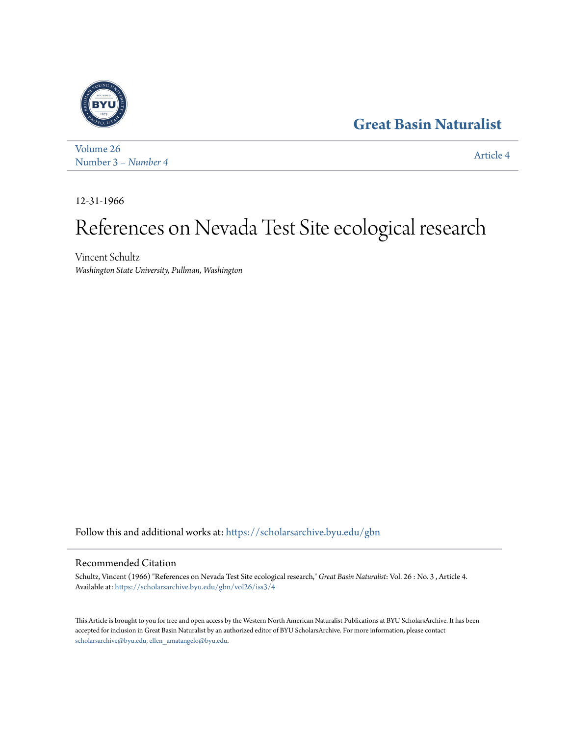## **[Great Basin Naturalist](https://scholarsarchive.byu.edu/gbn?utm_source=scholarsarchive.byu.edu%2Fgbn%2Fvol26%2Fiss3%2F4&utm_medium=PDF&utm_campaign=PDFCoverPages)**



[Volume 26](https://scholarsarchive.byu.edu/gbn/vol26?utm_source=scholarsarchive.byu.edu%2Fgbn%2Fvol26%2Fiss3%2F4&utm_medium=PDF&utm_campaign=PDFCoverPages) Number 3 *[– Number 4](https://scholarsarchive.byu.edu/gbn/vol26/iss3?utm_source=scholarsarchive.byu.edu%2Fgbn%2Fvol26%2Fiss3%2F4&utm_medium=PDF&utm_campaign=PDFCoverPages)* [Article 4](https://scholarsarchive.byu.edu/gbn/vol26/iss3/4?utm_source=scholarsarchive.byu.edu%2Fgbn%2Fvol26%2Fiss3%2F4&utm_medium=PDF&utm_campaign=PDFCoverPages)

12-31-1966

# References on Nevada Test Site ecological research

Vincent Schultz *Washington State University, Pullman, Washington*

Follow this and additional works at: [https://scholarsarchive.byu.edu/gbn](https://scholarsarchive.byu.edu/gbn?utm_source=scholarsarchive.byu.edu%2Fgbn%2Fvol26%2Fiss3%2F4&utm_medium=PDF&utm_campaign=PDFCoverPages)

### Recommended Citation

Schultz, Vincent (1966) "References on Nevada Test Site ecological research," *Great Basin Naturalist*: Vol. 26 : No. 3 , Article 4. Available at: [https://scholarsarchive.byu.edu/gbn/vol26/iss3/4](https://scholarsarchive.byu.edu/gbn/vol26/iss3/4?utm_source=scholarsarchive.byu.edu%2Fgbn%2Fvol26%2Fiss3%2F4&utm_medium=PDF&utm_campaign=PDFCoverPages)

This Article is brought to you for free and open access by the Western North American Naturalist Publications at BYU ScholarsArchive. It has been accepted for inclusion in Great Basin Naturalist by an authorized editor of BYU ScholarsArchive. For more information, please contact [scholarsarchive@byu.edu, ellen\\_amatangelo@byu.edu.](mailto:scholarsarchive@byu.edu,%20ellen_amatangelo@byu.edu)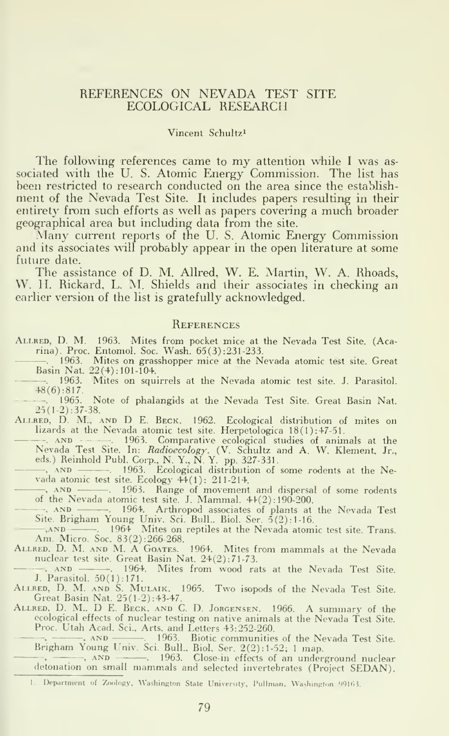#### REFERENCES ON NEVADA TEST SITE ECOLOGICAL RESEARCH

#### Vincent Schultz^

The following references came to my attention while <sup>I</sup> was as sociated with the U. S. Atomic Energy Commission. The list has been restricted to research conducted on the area since the establishment of the Nevada Test Site. It includes papers resulting in their entirety from such efforts as well as papers covering <sup>a</sup> much broader geographical area but including data from the site.

Many current reports of the U.S. Atomic Energy Commission and its associates will probably appear in the open literature at some future date.

The assistance of D. M. Allred, W. E. Martin, W. A. Rhoads, \V. II. Rickard, L. M. Shields and their associates in checking an earlier version of the list is gratefully acknowledged.

#### **REFERENCES**

- Allred, D. M. 1963. Mites from pocket mice at the Nevada Test Site. (Acarina). Proc. Entomol. Soc. Wash. 65(3) :231-233.
	- . 1963. Mites on grasshopper mice at the Nevada atomic test site. Great Basin Nat. 22(4): 101-104.
	- . 1963. Mites on squirrels at the Nevada atomic test site. J. Parasitol.  $48(6):817.$ <br>- 1965.
- Note of phalangids at the Nevada Test Site. Great Basin Nat. 25(l-2):37-38.
- Allred, D. M., and D E. Beck. 1962. Ecological distribution of mites on lizards at the Nevada atomic test site. Herpetologica 18(1):47-51.
- --. AND . 1963. Comparative ecological studies of animals at the Nevada Test Site. In: *Radioecology.* (V. Schultz and A. W. Klement, Jr.,
- eds.) Reinhold Publ. Corp., N. Y., N. Y., pp. 327-331.<br>—, AND —————. 1963. Ecological distribution of some rodents at the Nevada atomic test site. Ecology 44(1): 211-214.
- , AND . 1963. Range of movement and dispersal of some rodents of the Nevada atomic test site. J. Mammal. 44(2) : 190-200.
- , AND -. 1964. Arthropod associates of plants at the Nevada Test Site. Brigham Young Univ. Sci. Bull.. Biol. Ser. 5(2): 1-16.
- —,AND . 1964 Mites on reptiles at the Nevada atomic test site. Trans.<br>Am. Micro. Soc. 83(2):266-268.
- Allred. D. M. and M. A Goates. 1964. Mites from mammals at the Nevada nuclear test site. Great Basin Nat. 24(2):71-73.<br>AND 1964. Mites from wood ra
- 1964. Mites from wood rats at the Nevada Test Site. J. Parasitol. 50(1): 171.
- ALLRED, D. M. AND S. MULAIK. 1965. Two isopods of the Nevada Test Site.<br>Great Basin Nat. 25(1-2):43-47.<br>ALLRED, D. M.. D E. BECK, AND C. D. JORGENSEN. 1966. A summary of the
- ecological effects of nuclear testing on native animals at the Nevada Test Site. Proc. Utah Acad. Sci., Arts, and Letters 43:252-260.
	- , , AND . 1963. Biotic communities of the Nevada Test Site. Brigham Young Univ. Sci. Bull.. Biol. Ser. 2(2): 1-52; <sup>1</sup>map.
	- .  $\longrightarrow$ , AND  $\longrightarrow$  1963. Close-in effects of an underground nuclear detonation on small mammals and selected invertebrates (Project SEDAN).
	- 1. Department of Zoology, Washington State University, Pullman, Washington 99163.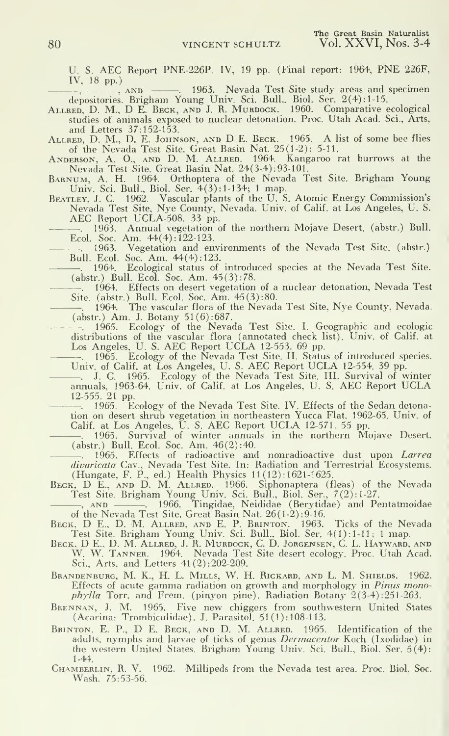U. S. AEC Report PNE-226P. IV, 19 pp. (Final report: 1964, PNE 226F, IV, 18 pp.)

 $\frac{1}{1}$ ,  $\frac{1}{10}$  pp.)<br>  $\frac{1}{10}$ ,  $\frac{1}{10}$ ,  $\frac{1}{100}$ ,  $\frac{1}{100}$  Nevada Test Site study areas and specimen

depositories. Brigham Young Univ. Sci. Bull., Biol. Ser. 2(4): 1-15.<br>ALLRED, D. M., D E. BECK, AND J. R. MURDOCK. 1960. Comparative ecological studies of animals exposed to nuclear detonation. Proc. Utah Acad. Sci., Arts, and Letters 37:152-153.

Allred, D. M.. D. E. Johnson, and D E.Beck. 1965. A list of some bee flies of the Nevada Test Site. Great Basin Nat. 25(1-2): 5-11.

Anderson, A. O., and D. M. Allred. 1964. Kangaroo rat burrows at the Nevada Test Site. Great Basin Nat. 24(3-4) :93-101.

Barnum, a. H. 1964. Orthoptera of the Nevada Test Site. Brigham Young Univ. Sci. Bull., Biol. Ser. 4(3): 1-134; 1 map.

Beatley, J. C. 1962. Vascular plants of the U. S. Atomic Energy Commission's Nevada Test Site, Nye County, Nevada. Univ. of Calif, at Los Angeles, U. S. AEC Report UCLA-508. <sup>33</sup> pp.

Annual vegetation of the northern Mojave Desert, (abstr.) Bull. Ecol. Soc. Am.  $44(4)$ : 122-123.<br>  $-$  1963. Vegetation and en

Vegetation and environments of the Nevada Test Site, (abstr.) Bull. Ecol. Soc. Am. 44(4): 123.

Ecological status of introduced species at the Nevada Test Site. (abstr.) Bull. Ecol. Soc. Am. 45(3): 78.

. 1964. Effects on desert vegetation of a nuclear detonation, Nevada Test Site, (abstr.) Bull. Ecol. Soc. Am. 45(3):80.<br>
— 1964. The vascular flora of the Nevade

The vascular flora of the Nevada Test Site, Nye County, Nevada. (abstr.) Am. J. Botany 51(6):687.

. 1965. Ecology of the Nevada Test Site. I. Geographic and ecologic distributions of the vascular flora (annotated check list). Univ. of Calif, at Los Angeles, U. S. AEC Report UCLA 12-553. <sup>69</sup> pp.

. 1965. Ecology of the Nevada Test Site. II. Status of introduced species.

Univ. of Calif. at Los Angeles, U. S. AEC Report UCLA 12-554. 39 pp.<br>—. J. C. 1965. Ecology of the Nevada Test Site. III. Survival of winter<br>annuals, 1963-64. Univ. of Calif. at Los Angeles, U. S. AEC Report UCLA

12-555. 21 pp.<br>- 1965. Ecology of the Nevada Test Site. IV. Effects of the Sedan detonation on desert shrub vegetation in northeastern Yucca Flat. 1962-65. Univ. of Calif, at Los Angeles, U. S. AEC Report UCLA 12-571. <sup>55</sup> pp.

. 1965. Survival of winter annuals in the northern Mojave Desert. (abstr.) Bull. Ecol. Soc. Am. 46(2) :40.

1965. Effects of radioactive and nonradioactive dust upon *Larrea divaricata* Cav., Nevada Test Site. In: Radiation and Terrestrial Ecosystems.<br>(Hungate, F. P., ed.) Health Physics 11(12):1621-1625.

BECK, D E., AND D. M. ALLRED. 1966. Siphonaptera (fleas) of the Nevada<br>Test Site. Brigham Young Univ. Sci. Bull., Biol. Ser., 7(2):1-27.

, and . 1966. Tingidae, Neididae (Berytidae) and Pentatmoidae of the Nevada Test Site. Great Basin Nat. 26(1-2) :9-16.

BECK, D.E., D. M. ALLRED, AND E. P. BRINTON. 1963. Ticks of the Nevada<br>Test Site. Brigham Young Univ. Sci. Bull., Biol. Ser. 4(1):1-11; 1 map.<br>BECK, D.E., D. M. ALLRED, J. R. MURDOCK, C. D. JORGENSEN, C. L. HAYWARD, AND<br>W. Sci., Arts, and Letters 41(2):202-209.

Brandenburg, M. K., H. L. Mills, W. H. Rickard, and L. M. Shields. 1962. Effects of acute gamma radiation on growth and morphology in Pinus mono*phylla* Torr. and Frem. (pinyon pine). Radiation Botany  $2(3-4)$ : 251-263.

Bkennan, J. M. 1965. Five new chiggers from southwestern United States (Acarina: Trombiculidae). J. Parasitol. 51 (1): 108-113.

Brinton. E. P., D E. Beck, and D. M. Allred. 1965. Identification of the adults, nymphs and larvae of ticks of genus Dermacentor Koch (Ixodidae) in the western United States. Brigham Young Univ. Sci. Bull., Biol. Ser. 5(4): 1-44.

Chamberlin, R. V. 1962. Millipeds from the Nevada test area. Proc. Biol. Soc. Wash. 75:53-56.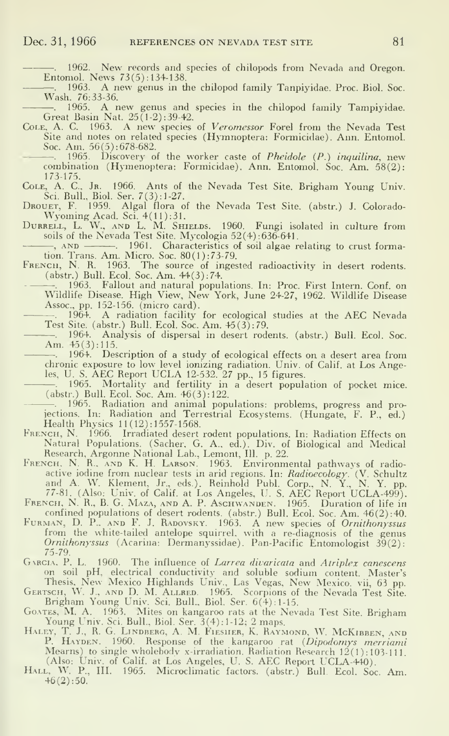1962. New records and species of chilopods from Nevada and Oregon. Entomol. News  $73(5)$ : 134-138.

. 1963. <sup>A</sup> new genus in the chilopod family Tanpiyidae. Proc. Biol. Soc. Wash. 76:33-36.

-. 1965. A new genus and species in the chilopod family Tampiyidae. Great Basin Nat. 25(1-2) : 39-42.

Cole, A. C. 1963. A new species of Veromessor Forel from the Nevada Test Site and notes on related species (Hymnoptera: Formicidae). Ann. Entomol. Soc. Am. 56(5): 678-682.

--. 1965. Discovery of the worker caste of *Pheidole (P.) inquilina*, new<br>combination (Hymenoptera: Formicidae). Ann. Entomol. Soc. Am. 58(2):

173-175. Cole, A. C, Jr. 1966. Ants of the Nevada Test Site. Brigham Young Univ. Sci. Bull., Biol. Ser. 7(3): 1-27.

Drouet. F. 1959. Algal flora of the Nevada Test Site, (abstr.) J. Colorado- Wyoming Acad. Sci. 4(11):31.

DURRELL, L. W., AND L. M. SHIELDS. 1960. Fungi isolated in culture from soils of the Nevada Test Site. Mycologia 52(4) : 636-641.

---------, AND . 1961. Characteristics of soil algae relating to crust formation. Trans. Am. Micro. Soc. 80(1): 73-79.<br>FRENCH, N. R. 1963. The source of ingested radioactivity in desert rodents.

(abstr.) Bull. Ecol. Soc. Am. 44(3): 74.

—. 1963. Fallout and natural populations. In: Proc. First Intern. Conf. on<br>Wildlife Disease. High View, New York, June 24-27, 1962. Wildlife Disease Assoc, pp. 152-156. (micro card).

. 1964. A radiation facility for ecological studies at the AEC Nevada Test Site, (abstr.) Bull. Ecol. Soc. Am. 45 (3): 79.

-. 1964. Analysis of dispersal in desert rodents, (abstr.) Bull. Ecol. Soc. Am. 45(3):115.

. 1964. Description of a study of ecological effects on a desert area from chronic exposure to low level ionizing radiation. Univ. of Calif, at Los Angeles, U. S. AEC Report UCLA 12-532. 27 pp., 15 figures.

 $-$ . 1965. Mortality and fertility in a desert population of pocket mice. (abstr.) Bull. Ecol. Soc. Am. 46(3): 122.

1965. Radiation and animal populations: problems, progress and projections. In: Radiation and Terrestrial Ecosystems. (Hungate, F. P., ed.)<br>Health Physics 11(12):1557-1568.

HRENCH, N. 1966. Irradiated desert rodent populations. In: Radiation Effects on Natural Populations. (Sacher, G. A., ed.). Div. of Biological and Medical

FRENCH, N. R., AND K. H. LARSON. 1963. Environmental pathways of radioactive iodine from nuclear tests in arid regions. In: *Radioecology.* (V. Schultz and A. W. Klement, Jr., eds.). Reinhold Publ. Corp., N. Y., N. Y. pp.<br>77-81. (Also: Univ. of Calif. at Los Angeles, U. S. AEC Report UCLA-49

FRENCH, N. R., B. G. MAZA, AND A. P. ASCHWANDEN. 1965. Duration of life in confined populations of desert rodents. (abstr.) Bull. Ecol. Soc. Am. 46(2):40.

FURMAN, D. P., AND F. J. RADOVSKY. 1963. A new species of Ornithonyssus from the white-tailed antelope squirrel, with a re-diagnosis of the genus Ornithonyssus (Acarina: Dermanyssidae). Pan-Pacific Entomologist 39(2): 75-79.

GARCIA. P. L. 1960. The influence of Larrea divaricata and Atriplex canescens

on soil pH, electrical conductivity and soluble sodium content. Master's<br>Thesis, New Mexico Highlands Univ., Las Vegas, New Mexico. vii, 63 pp.<br>GERTSCH, W. J., AND D. M. ALLRED. 1965. Scorpions of the Nevada Test Site.<br>Bri

GOATES, M. A. 1963. Mites on kangaroo rats at the Nevada Test Site. Brigham Young Univ. Sci. Bull.. Biol. Ser. 3(4): 1-12; 2 maps.

HALEY, T. J., R. G. LINDBERG, A. M. FIESHER, K. RAYMOND, W. MCKIBBEN, AND<br>P. HAYDEN. 1960. Response of the kangaroo rat (Dipodomys merriami Mearns) to single wholebody x-irradiation. Radiation Research 12(1):103-111.<br>(Also: Univ. of Calif. at Los Angeles, U. S. AEC Report UCLA-440).<br>HALL, W. P., III. 1965. Microclimatic factors. (abstr.) Bull. Ecol. Soc. Am.

 $+6(2):50.$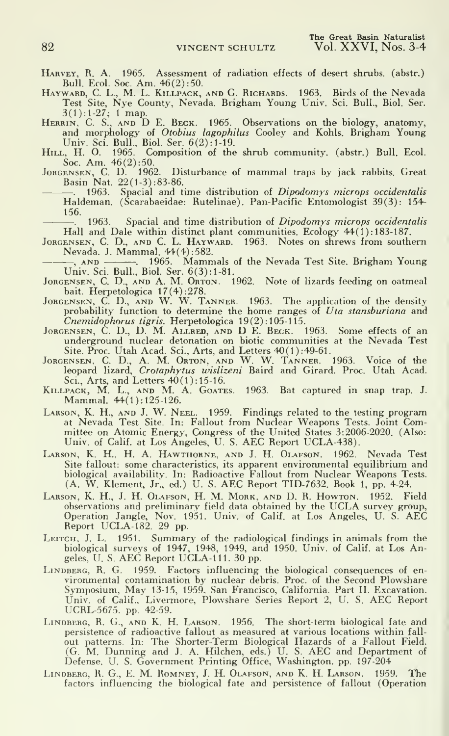Harvey, R. A. 1965. Assessment of radiation effects of desert shrubs, (abstr.)

Bull. Ecol. Soc. Am. 46(2): 50.<br>Bull. Ecol. Soc. Am. 46(2): 50.<br>Hayward, C. L., M. L. KILLPACK, AND G. RICHARDS. 1963. Birds of the Nevada<br>Test Site, Nye County, Nevada. Brigham Young Univ. Sci. Bull., Biol. Ser.

Test Site, Nye County, Nevada. Brigham Young Univ. Sci. Bull., Biol. Ser.<br>3(1):1-27; 1 map.<br>HERRIN, C. S., AND D. E. BECK. 1965. Observations on the biology, anatomy,<br>and morphology of Otobius lagophilus Cooley and Kohls.

Univ. Sci. Bull., Biol. Ser.  $b(2):1-19$ .<br>Hill, H. O. 1965. Composition of the shrub community. (abstr.) Bull. Ecol.<br>Soc. Am. 46(2):50.<br>Jongensen, C. D. 1962. Disturbance of mammal traps by jack rabbits. Great<br>Basin Nat. 2

Haldeman. (Scarabaeidae: Rutelinae). Pan-Pacific Entomologist 39(3): 154- 156.<br>—. 1963. Spacial and time distribution of *Dipodomys microps occidentalis* 

Hall and Dale within distinct plant communities. Ecology 44(1): 183-187.

JORGENSEN, C. D., AND C. L. HAYWARD. 1963. Notes on shrews from southern Nevada. J. Mammal. 44(4): 582.

, AND . 1965. Mammals of the Nevada Test Site. Brigham Young Univ. Sci. Bull., Biol. Ser. 6(3): 1-81.

- JoRGENSEN, C. D., AND A. M. Orton. 1962. Note of lizards feeding on oatmeal
- bait. Herpetologica 17(4):278.<br>JoRGENSEN, C. D., AND W. W. TANNER. 1963. The application of the density<br>probability function to determine the home ranges of *Uta stansburiana* and Cnemidophorus tigris. Herpetologica 19(2) : 105-115.
- JORGENSEN, C. D., D. M. ALLRED, AND D E. BECK. 1963. Some effects of an underground nuclear detonation on biotic communities at the Nevada Test Site. Proc. Utah Acad. Sci., Arts, and Letters 40(1) :49-61.
- JORGENSEN, C. D., A. M. ORTON, AND W. W. TANNER. 1963. Voice of the leopard lizard, Crotaphytus wislizeni Baird and Girard. Proc. Utah Acad. Sci., Arts, and Letters 40(1): 15-16.
- KILLPACK, M. L., AND M. A. GOATES. 1963. Bat captured in snap trap. J. Mammal. 44(1): 125-126.
- Larson, K. H., and J. W. Neel. 1959. Findings related to the testing program at Nevada Test Site. In: Fallout from Nuclear Weapons Tests. Joint Com-mittee on Atomic Energy, Congress of the United States 3:2006-2020. (Also: Univ. of Calif, at Los Angeles, U. S. AEC Report UCLA-438).
- Larson, K. H., H. A. Hawthorne, and J. H. Olafson. 1962. Nevada Test Site fallout: some characteristics, its apparent environmental equilibrium and biological availability. In: Radioactive Fallout from Nuclear Weapons Tests. (A. W. Klement, Jr., ed.) U. S. AEC Report TID-7632. Book 1, pp. 4-24.
- LARSON, K. H., J. H. OLAFSON, H. M. MORK, AND D. R. Howron. 1952. Field<br>observations and preliminary field data obtained by the UCLA survey group,<br>Operation Jangle, Nov. 1951. Univ. of Calif. at Los Angeles, U. S. AEC<br>Repo
- LEITCH, J. L. 1951. Summary of the radiological findings in animals from the biological surveys of 1947, 1948, 1949, and 1950. Univ. of Calif, at Los An-geles. U. S. AEC Report UCLA-Ill. <sup>30</sup> pp.
- LINDBERG, R. G. 1959. Factors influencing the biological consequences of environmental contamination by nuclear debris. Proc. of the Second Plowshare<br>Symposium, May 13-15, 1959. San Francisco, California. Part II. Excavation. Univ. of Calif., Livermore, Plowshare Series Report 2, U. S. AEC Report UCRL-5675. pp. 42-59.
- LINDBERG, R. G., AND K. H. LARSON. 1956. The short-term biological fate and<br>persistence of radioactive fallout as measured at various locations within fall-<br>out patterns. In: The Shorter-Term Biological Hazards of a Fallou
- Lindberg, R. G., E. M. Romney, J. H. Olafson, and K. H. Larson. 1959. The factors influencing the biological fate and persistence of fallout (Operation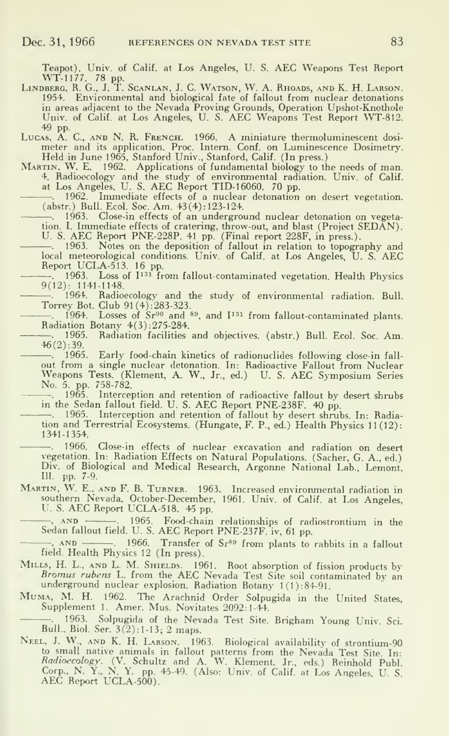Teapot). Univ. of Calif, at Los Angeles, U. S. AEC Weapons Test Report

WT-1177, 78 pp.<br>Lindberg, R. G., J. T. Scanlan, J. C. Watson, W. A. Rhoads, and K. H. Larson. 1954, Environmental and biological fate of fallout from nuclear detonations in areas adjacent to the Nevada Proving Grounds, Operation Upshot-Knothole Univ. of Calif. at Los Angeles, U. S. AEC Weapons Test Report WT-812.<br>49 pp.

49 pp. Lucas, A. C, and N. R. French. 1966. <sup>A</sup> miniature thermoluminescent dosi- meter and its application. Proc. Intern. Conf. on Luminescence Dosimetry.

Held in June 1965, Stanford Univ., Stanford, Calif. (In press.)<br>MARTIN, W. E. 1962. Applications of fundamental biology to the needs of man.<br>4. Radioecology and the study of environmental radiation. Univ. of Calif.<br>at Los

. 1962. Immediate effects of a nuclear detonation on desert vegetation. (abstr.) Bull. Ecol. Soc. Am. 43(4) : 123-124. . 1963. Close-in effects of an underground nuclear detonation on vegeta-

tion. I. Immediate effects of cratering, throw-out, and blast (Project SEDAN). U. S. AEC Report PNE-228P. <sup>41</sup> pp. (Final report 228F, in press.). . 1963. Notes on the deposition of fallout in relation to topography and

local meteorological conditions. Univ. of Calif, at Los Angeles, U. S. AEC

Report UCLA-513. 16 pp.<br>—. 1963. Loss of I<sup>131</sup> from fallout-contaminated vegetation. Health Physics 9(12): 1141-1148.

 $-$ . 1964. Radioecology and the study of environmental radiation. Bull. Torrey Bot. Club 91 (4) :283-323.

1964. Losses of  $Sr^{90}$  and  $^{89}$ , and  $I^{131}$  from fallout-contaminated plants. Radiation Botany 4(3) :275-284.

. 1965. Radiation facilities and objectives, (abstr.) Bull. Ecol. Soc. Am. 46(2) :39.

1965. Early food-chain kinetics of radionuclides following close-in fall out from a single nuclear detonation. In: Radioactive Fallout from Nuclear Weapons Tests. (Klement, A. W., Jr., ed.) U. S. AEC Symposium Series No. 5. pp. 758-782.<br>
—. 1965. Interception and retention of radioactive fallout by desert shrubs in the Sedan fallout field. U. S. AEC Report PNE-238F. 4

-. 1965. Interception and retention of fallout by desert shrubs. In: Radiation and Terrestrial Ecosystems. (Hungate, F. P., ed.) Health Physics 11(12): 1341-1354.

—. 1966. Close-in effects of nuclear excavation and radiation on desert<br>vegetation. In: Radiation Effects on Natural Populations. (Sacher, G. A., ed.)<br>Div. of Biological and Medical Research, Argonne National Lab., Lemont, 111. pp. 7-9.

Martin, W. E.. and F. B. Turner. 1963. Increased environmental radiation in southern Nevada. October-December. 1961. Univ. of Calif, at Los Angeles, U. S. AEC Report UCLA-518. <sup>45</sup> pp.

, and . 1965. Food-chain relationships of radiostrontium in the Sedan fallout field. U. S. AEC Report PNE-237F. iv, <sup>61</sup> pp.

—, AND . 1966. Transfer of Sr<sup>89</sup> from plants to rabbits in a fallout field. Health Physics 12 (In press).

- MILLS, H. L., AND L. M. SHIELDS. 1961. Root absorption of fission products by *Bromus rubens* L. from the AEC Nevada Test Site soil contaminated by an underground nuclear explosion. Radiation Botany 1(1):84-91. MUMA, M. H.
- 

-. 1963. Solpugida of the Nevada Test Site. Brigham Young Univ. Sci. Bull., Biol. Ser. 3(2):1-13; 2 maps.

Neel, J. W., AND K. H. Larson. 1963. Biological availability of strontium-90 to small native animals in fallout patterns from the Nevada Test Site. In:<br>*Radioecology.* (V. Schultz and A. W. Klement. Jr., eds.) Reinhold Publ. Corp., N. Y., N. Y. pp. 45-49. (Also: Univ. of Calif, at Los Angeles, U. <sup>S</sup> AEC Report UCLA-500).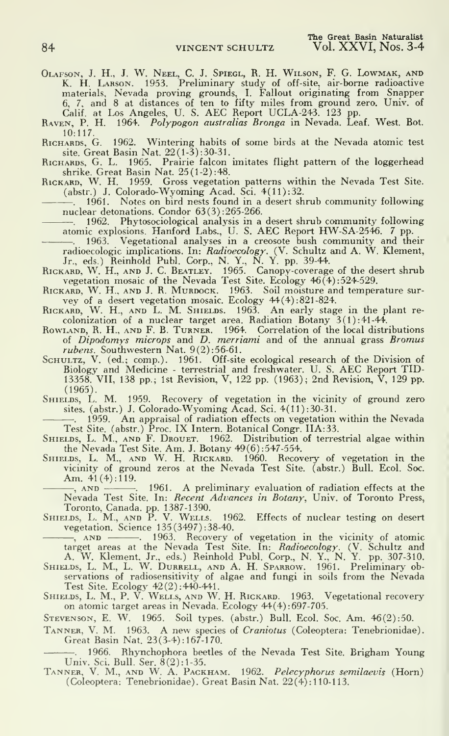OLAFSON, J. H., J. W. NEEL, C. J. SPIEGL, R. H. WILSON, F. G. LOWMAK, AND<br>K. H. LARSON. 1953. Preliminary study of off-site, air-borne radioactive<br>materials, Nevada proving grounds, I. Fallout originating from Snapper<br>6, 7

HU:117.<br>Richards, G. 1962. Wintering habits of some birds at the Nevada atomic test<br>site. Great Basin Nat. 22(1-3):30-31.<br>RICHARDS, G. L. 1965. Prairie falcon imitates flight pattern of the loggerhead

shrike. Great Basin Nat. 25(1-2):48.<br>RICKARD, W. H. 1959. Gross vegetation patterns within the Nevada Test Site.<br>(abstr.) J. Colorado-Wyoming Acad. Sci. 4(11):32.<br>——, 1961. Notes on bird nests found in a desert shrub comm

nuclear detonations. Condor  $63(3):265-266$ .<br>
--. 1962. Phytosociological analysis in a desert shrub community following<br>
atomic explosions. Hanford Labs., U. S. AEC Report HW-SA-2546. 7 pp.<br>
--. 1963. Vegetational analyse

Jr., eds.) Reinhold Publ. Corp., N. Y., N. Y. pp. 39-44.<br>RICKARD, W. H., AND J. C. BEATLEY. 1965. Canopy-coverage of the desert shrub<br>vegetation mosaic of the Newada Test Site. Ecology 46(4):524-529.<br>RICKARD, W. H., AND J.

colonization of a nuclear target area. Radiation Botany  $3(1)$ :41-44.

Rowland, R. H., AND F. B. TURNER. 1964. Correlation of the local distributions of *Dipodomys microps* and *D. merriami* and of the annual grass *Bromus* 

rubens. Southwestern Nat.  $9(2):56-61$ .<br>SCHULTZ, V. (ed.; comp.). 1961. Off-site ecological research of the Division of Biology and Medicine - terrestrial and freshwater. U. S. AEC Report TID-13358. VII, 138 pp.; 1st Revision, V, 122 pp. (1963); 2nd Revision, V, 129 pp. (1965).

SHIELDS, L. M. 1959. Recovery of vegetation in the vicinity of ground zero sites. (abstr.) J. Colorado-Wyoming Acad. Sci. 4(11):30-31.

 $-$ . 1959. An appraisal of radiation effects on vegetation within the Nevada.

Test Site. (abstr.) Proc. IX Intern. Botanical Congr. IIA:33.<br>SHIELDS, L. M., AND F. DROUET. 1962. Distribution of terrestrial algae within<br>the Nevada Test Site. Am. J. Botany 49(6):547-554.<br>SHIELDS, L. M., AND W. H. RICKA

vicinity of ground zeros at the Nevada Test Site, (abstr.) Bull. Ecol. Soc. Am. 41 (4): 119.

1961. A preliminary evaluation of radiation effects at the Nevada Test Site. In: *Recent Advances in Botany*, Univ. of Toronto Press,

Toronto, Canada, pp. 1387-1390. Shields, L. M., and P. V. Wells. 1962. Effects of nuclear testing on desert vegetation. Science 135(3497) : 38-40.

—, AND ———. 1963. Recovery of vegetation in the vicinity of atomic<br>target areas at the Nevada Test Site. In: *Radioecology*. (V. Schultz and<br>A. W. Klement, Jr., eds.) Reinhold Publ. Corp., N. Y., N. Y. pp. 307-310.

SHIELDS, L. M., L. W. DURRELL, AND A. H. SPARROW. 1961. Preliminary observations of radiosensitivity of algae and fungi in soils from the Nevada

Test Site. Ecology 42(2):440-441.<br>SHIELDS, L. M., P. V. WELLS, AND W. H. RICKARD. 1963. Vegetational recovery on atomic target areas in Nevada. Ecology 44(4):697-705.

Stevenson, E. W. 1965. Soil types, (abstr.) Bull. Ecol. Soc. Am. 46(2): 50.

TANNER, V. M. 1963. A new species of Craniotus (Coleoptera: Tenebrionidae). Great Basin Nat. 23(3-4): 167-1 70.

. 1966. Rhynchophora beetles of the Nevada Test Site. Brigham Young

Univ. Sci. Bull. Ser. 8(2):1-35.<br>Tanner, V. M., and W. A. Packham. 1962. *Pelecyphorus semilaevis (*Horn) (Coleoptera: Tenebrionidae). Great Basin Nat. 22(4): 110-1 13.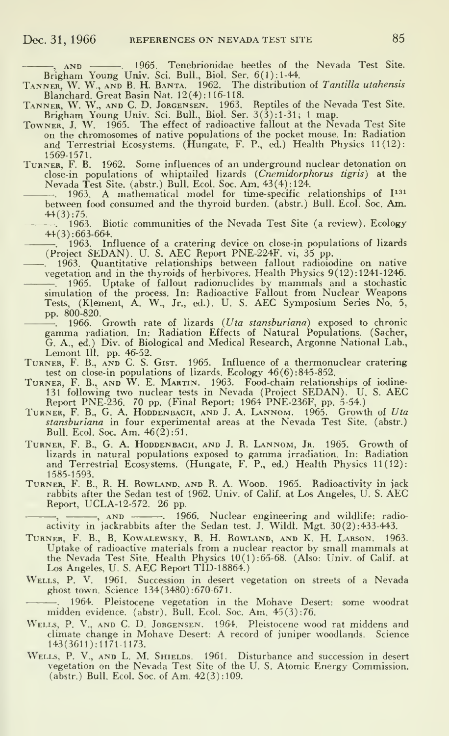AND . 1965. Tenebrionidae beetles of the Nevada Test Site.

Brigham Young Univ. Sci. Bull., Biol. Ser. 6(1): 1-44.<br>TANNER, W. W., AND B. H. BANTA. 1962. The distribution of Tantilla utahensis Blanchard. Great Basin Nat. 12(4) : <sup>1</sup> 16-1 18.

Tanner, W. W., and C. D. Jorgensen. 1963. Reptiles of the Nevada Test Site. Brigham Young Univ. Sci. Bull., Biol. Ser. 3(3): 1-31; <sup>1</sup> map.

- Towner. J. W. 1965. The effect of radioactive fallout at the Nevada Test Site on the chromosomes of native populations of the pocket mouse. In: Radiation and Terrestrial Ecosystems. (Hungate, F. P., ed.) Health Physics 11(12): 1569-1571.
- Turner, F. B. 1962. Some influences of an underground nuclear detonation on close-in populations of whiptailed lizards {Cnemidorphorus tigris) at the Nevada Test Site, (abstr.) Bull. Ecol. Soc. Am. 43(4): 124.

1963. A mathematical model for time-specific relationships of  $I^{131}$ between food consumed and the thyroid burden, (abstr.) Bull. Ecol. Soc. Am.  $44(3):75.$ <br>-, 1963.

Biotic communities of the Nevada Test Site (a review). Ecology 44(3): 663-664.

. 1963. Influence of a cratering device on close-in populations of lizards (Project SEDAN). U. S. AEC Report PNE-224F. vi, <sup>35</sup> pp.

- . 1963. Quantitative relationships between fallout radioiodine on native vegetation and in the thyroids of herbivores. Health Physics 9(12): 1241-1246. . 1965. Uptake of fallout radionuclides by mammals and <sup>a</sup> stochastic simulation of the process. In: Radioactive Fallout from Nuclear Weapons Tests, (Klement, A. W., Jr., ed.). U. S. AEC Symposium Series No. 5, pp.  $800-820$ .<br>
- 1966. Growth rate of lizards (*Uta stansburiana*) exposed to chronic
	- gamma radiation. In: Radiation Effects of Natural Populations. (Sacher, G. A., ed.) Div. of Biological and Medical Research, Argonne National Lab., Lemont III. pp. 46-52.
- TURNER, F. B., AND C. S. GIST. 1965. Influence of a thermonuclear cratering test on close-in populations of lizards. Ecology 46(6):845-852.
- test on close-in populations of lizards. Ecology 46(6): 845-852.<br>Turner, F. B., and W. E. Martin. 1963. Food-chain relationships of iodine-<br>131 following two nuclear tests in Nevada (Project SEDAN). U. S. AEC
- Report PNE-236. 70 pp. (Final Report: 1964 PNE-236F, pp. 5-54.)<br>TURNER, F. B., G. A. HODDENBACH, AND J. A. LANNOM. 1965. Growth of Uta stansburiana in four experimental areas at the Nevada Test Site, (abstr.) Bull. Ecol. Soc. Am. 46(2) :51.
- Turner, F. B., G. A. Hoddenbach, and J. R. Lannom, Jr. 1965. Growth of lizards in natural populations exposed to gamma irradiation. In: Radiation and Terrestrial Ecosystems. (Hungate, F. P., ed.) Health Physics 11(12): 1585-1593.
- Turner, F. B., R. H. Rowland, and R. A. Wood. 1965. Radioactivity in jack rabbits after the Sedan test of 1962. Univ. of Calif, at Los Angeles, U. S. AEC Report, UCLA-12-572. 26 pp.

, \_\_\_\_\_\_, ann \_\_\_\_\_\_\_. 1966. Nuclear engineering and wildlife: radioactivity in jackrabbits after the Sedan test. J. Wildl. Mgt. 30(2) :433-443.

- Turner, F. B., B. Kowalewsky, R. H. Rowland, and K. H. Larson. 1963. Uptake of radioactive materials from <sup>a</sup> nuclear reactor by small mammals at the Nevada Test Site. Health Physics 10(1):65-68. (Also: Univ. of Calif. at Los Angeles, U. S. AEC Report TID-18864.)
- Wells, P. V. 1961. Succession in desert vegetation on streets of a Nevada ghost town. Science <sup>1</sup> 34(3480): 670-671.

. 1964. Pleistocene vegetation in the Mohave Desert: some woodrat midden evidence, (abstr). Bull. Ecol. Soc. Am. 45 (3): 76.

- Wells, P. V., and C. D. Jorgensen. 1964. Pleistocene wood rat middens and climate change in Mohave Desert: A record of juniper woodlands. Science 143(3611):1171-1173.
- WELLS, P. V., AND L. M. SHIELDS. 1961. Disturbance and succession in desert vegetation on the Nevada Test Site of the U. S. Atomic Energy Commission. (abstr.) Bull. Ecol. Soc. of Am. 42(3):109.